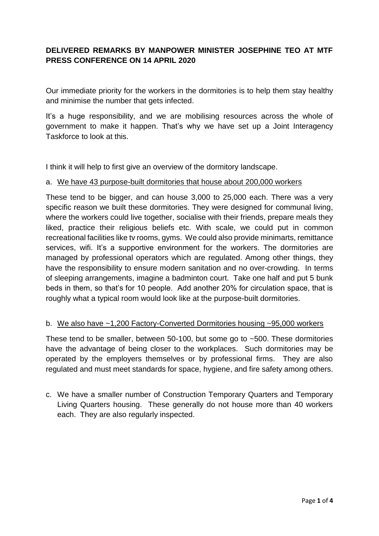# **DELIVERED REMARKS BY MANPOWER MINISTER JOSEPHINE TEO AT MTF PRESS CONFERENCE ON 14 APRIL 2020**

Our immediate priority for the workers in the dormitories is to help them stay healthy and minimise the number that gets infected.

It's a huge responsibility, and we are mobilising resources across the whole of government to make it happen. That's why we have set up a Joint Interagency Taskforce to look at this.

I think it will help to first give an overview of the dormitory landscape.

### a. We have 43 purpose-built dormitories that house about 200,000 workers

These tend to be bigger, and can house 3,000 to 25,000 each. There was a very specific reason we built these dormitories. They were designed for communal living, where the workers could live together, socialise with their friends, prepare meals they liked, practice their religious beliefs etc. With scale, we could put in common recreational facilities like tv rooms, gyms. We could also provide minimarts, remittance services, wifi. It's a supportive environment for the workers. The dormitories are managed by professional operators which are regulated. Among other things, they have the responsibility to ensure modern sanitation and no over-crowding. In terms of sleeping arrangements, imagine a badminton court. Take one half and put 5 bunk beds in them, so that's for 10 people. Add another 20% for circulation space, that is roughly what a typical room would look like at the purpose-built dormitories.

### b. We also have ~1,200 Factory-Converted Dormitories housing ~95,000 workers

These tend to be smaller, between 50-100, but some go to ~500. These dormitories have the advantage of being closer to the workplaces. Such dormitories may be operated by the employers themselves or by professional firms. They are also regulated and must meet standards for space, hygiene, and fire safety among others.

c. We have a smaller number of Construction Temporary Quarters and Temporary Living Quarters housing. These generally do not house more than 40 workers each. They are also regularly inspected.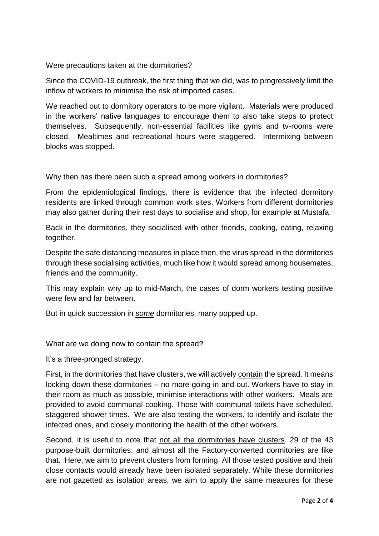Were precautions taken at the dormitories?

Since the COVID-19 outbreak, the first thing that we did, was to progressively limit the inflow of workers to minimise the risk of imported cases.

We reached out to dormitory operators to be more vigilant. Materials were produced in the workers' native languages to encourage them to also take steps to protect themselves. Subsequently, non-essential facilities like gyms and tv-rooms were closed. Mealtimes and recreational hours were staggered. Intermixing between blocks was stopped.

Why then has there been such a spread among workers in dormitories?

From the epidemiological findings, there is evidence that the infected dormitory residents are linked through common work sites. Workers from different dormitories may also gather during their rest days to socialise and shop, for example at Mustafa.

Back in the dormitories, they socialised with other friends, cooking, eating, relaxing together.

Despite the safe distancing measures in place then, the virus spread in the dormitories through these socialising activities, much like how it would spread among housemates, friends and the community.

This may explain why up to mid-March, the cases of dorm workers testing positive were few and far between.

But in quick succession in *some* dormitories, many popped up.

What are we doing now to contain the spread?

### It's a three-pronged strategy.

First, in the dormitories that have clusters, we will actively contain the spread. It means locking down these dormitories – no more going in and out. Workers have to stay in their room as much as possible, minimise interactions with other workers. Meals are provided to avoid communal cooking. Those with communal toilets have scheduled, staggered shower times. We are also testing the workers, to identify and isolate the infected ones, and closely monitoring the health of the other workers.

Second, it is useful to note that not all the dormitories have clusters. 29 of the 43 purpose-built dormitories, and almost all the Factory-converted dormitories are like that. Here, we aim to prevent clusters from forming. All those tested positive and their close contacts would already have been isolated separately. While these dormitories are not gazetted as isolation areas, we aim to apply the same measures for these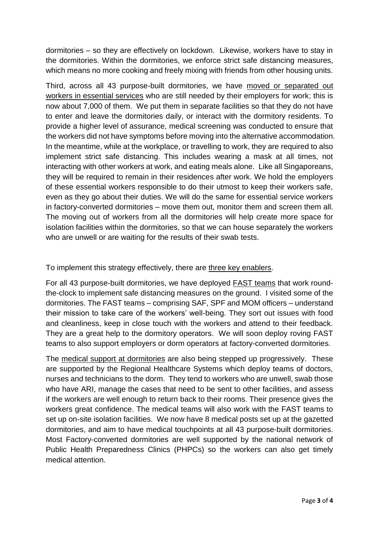dormitories – so they are effectively on lockdown. Likewise, workers have to stay in the dormitories. Within the dormitories, we enforce strict safe distancing measures, which means no more cooking and freely mixing with friends from other housing units.

Third, across all 43 purpose-built dormitories, we have moved or separated out workers in essential services who are still needed by their employers for work; this is now about 7,000 of them. We put them in separate facilities so that they do not have to enter and leave the dormitories daily, or interact with the dormitory residents. To provide a higher level of assurance, medical screening was conducted to ensure that the workers did not have symptoms before moving into the alternative accommodation. In the meantime, while at the workplace, or travelling to work, they are required to also implement strict safe distancing. This includes wearing a mask at all times, not interacting with other workers at work, and eating meals alone. Like all Singaporeans, they will be required to remain in their residences after work. We hold the employers of these essential workers responsible to do their utmost to keep their workers safe, even as they go about their duties. We will do the same for essential service workers in factory-converted dormitories – move them out, monitor them and screen them all. The moving out of workers from all the dormitories will help create more space for isolation facilities within the dormitories, so that we can house separately the workers who are unwell or are waiting for the results of their swab tests.

To implement this strategy effectively, there are three key enablers.

For all 43 purpose-built dormitories, we have deployed FAST teams that work roundthe-clock to implement safe distancing measures on the ground. I visited some of the dormitories. The FAST teams – comprising SAF, SPF and MOM officers – understand their mission to take care of the workers' well-being. They sort out issues with food and cleanliness, keep in close touch with the workers and attend to their feedback. They are a great help to the dormitory operators. We will soon deploy roving FAST teams to also support employers or dorm operators at factory-converted dormitories.

The medical support at dormitories are also being stepped up progressively. These are supported by the Regional Healthcare Systems which deploy teams of doctors, nurses and technicians to the dorm. They tend to workers who are unwell, swab those who have ARI, manage the cases that need to be sent to other facilities, and assess if the workers are well enough to return back to their rooms. Their presence gives the workers great confidence. The medical teams will also work with the FAST teams to set up on-site isolation facilities. We now have 8 medical posts set up at the gazetted dormitories, and aim to have medical touchpoints at all 43 purpose-built dormitories. Most Factory-converted dormitories are well supported by the national network of Public Health Preparedness Clinics (PHPCs) so the workers can also get timely medical attention.